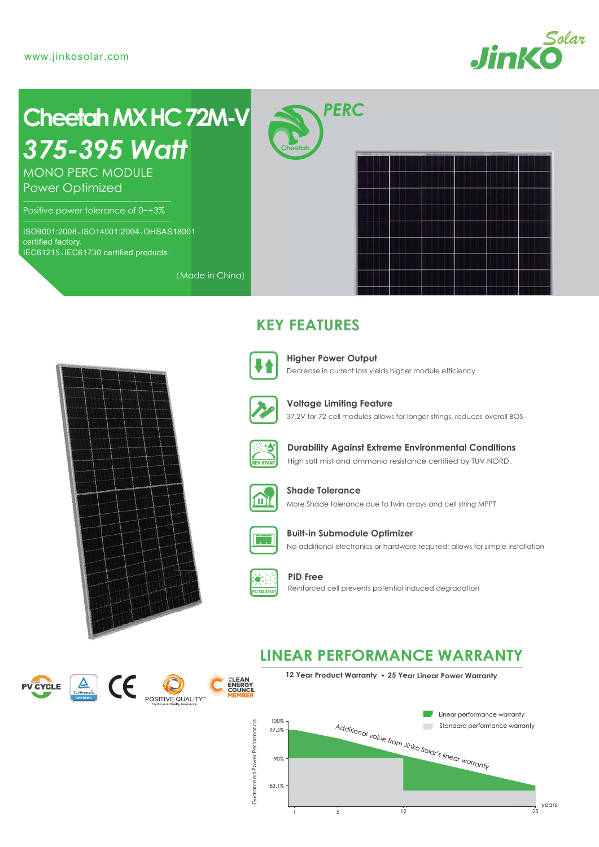

# *375-395 Watt* **Cheetah MXHC 72M-V**

MONO PERC MODULE Power Optimized

Positive power tolerance of 0~+3%

ISO9001:2008、ISO14001:2004、OHSAS18001 certified factory. IEC61215、IEC61730 certified products.

*PERC*

**Cheetah**

## **KEY FEATURES**



(Made in China)

Decrease in current loss yields higher module efficiency **Higher Power Output**



37.2V for 72-cell modules allows for longer strings, reduces overall BOS **Voltage Limiting Feature**



High salt mist and ammonia resistance certified by TUV NORD. **Durability Against Extreme Environmental Conditions**



More Shade tolerance due to twin arrays and cell string MPPT **Shade Tolerance**



No additional electronics or hardware required; allows for simple installation **Built-in Submodule Optimizer**



**PID Free** Reinforced cell prevents potential induced degradation

## **LINEAR PERFORMANCE WARRANTY**







**12 Year Product Warranty 25 Year Linear Power Warranty**